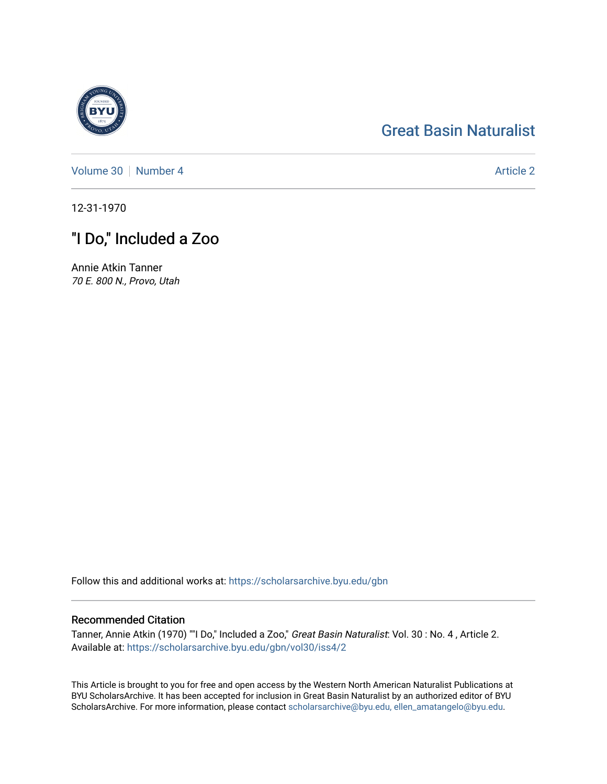## [Great Basin Naturalist](https://scholarsarchive.byu.edu/gbn)

[Volume 30](https://scholarsarchive.byu.edu/gbn/vol30) [Number 4](https://scholarsarchive.byu.edu/gbn/vol30/iss4) Article 2

12-31-1970

## "I Do," Included a Zoo

Annie Atkin Tanner 70 E. 800 N., Provo, Utah

Follow this and additional works at: [https://scholarsarchive.byu.edu/gbn](https://scholarsarchive.byu.edu/gbn?utm_source=scholarsarchive.byu.edu%2Fgbn%2Fvol30%2Fiss4%2F2&utm_medium=PDF&utm_campaign=PDFCoverPages) 

## Recommended Citation

Tanner, Annie Atkin (1970) ""I Do," Included a Zoo," Great Basin Naturalist: Vol. 30 : No. 4 , Article 2. Available at: [https://scholarsarchive.byu.edu/gbn/vol30/iss4/2](https://scholarsarchive.byu.edu/gbn/vol30/iss4/2?utm_source=scholarsarchive.byu.edu%2Fgbn%2Fvol30%2Fiss4%2F2&utm_medium=PDF&utm_campaign=PDFCoverPages)

This Article is brought to you for free and open access by the Western North American Naturalist Publications at BYU ScholarsArchive. It has been accepted for inclusion in Great Basin Naturalist by an authorized editor of BYU ScholarsArchive. For more information, please contact [scholarsarchive@byu.edu, ellen\\_amatangelo@byu.edu.](mailto:scholarsarchive@byu.edu,%20ellen_amatangelo@byu.edu)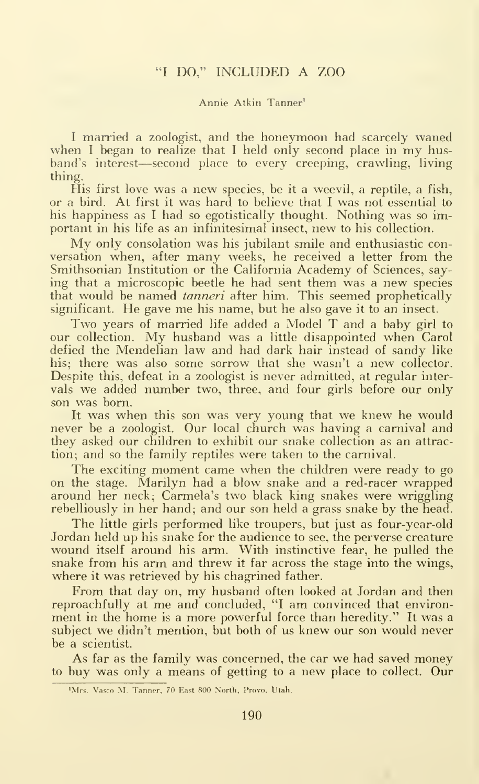## Annie Atkin Tanner<sup>1</sup>

<sup>I</sup> married a zoologist, and the honeymoon had scarcely waned when I began to realize that I held only second place in my husband's interest—second place to every creeping, crawling, living thing.

His first love was <sup>a</sup> new species, be it a weevil, <sup>a</sup> reptile, <sup>a</sup> fish, or a bird. At first it was hard to believe that <sup>I</sup> was not essential to his happiness as <sup>I</sup> had so egotistically thought. Nothing was so important in his life as an infinitesimal insect, new to his collection. My only consolation was his jubilant smile and enthusiastic con-

versation when, after many weeks, he received <sup>a</sup> letter from the Smithsonian Institution or the California Academy of Sciences, say ing that <sup>a</sup> microscopic beetle he had sent them was <sup>a</sup> new species that would be named *tanneri* after him. This seemed prophetically significant. He gave me his name, but he also gave it to an insect.

Two years of married life added <sup>a</sup> Model T and <sup>a</sup> baby girl to our collection. My husband was <sup>a</sup> little disappointed when Carol defied the Mendelian law and had dark hair instead of sandy like his; there was also some sorrow that she wasn't a new collector. Despite this, defeat in a zoologist is never admitted, at regular inter vals we added number two, three, and four girls before our only son was bom.

It was when this son was very young that we knew he would never be a zoologist. Our local church was having a carnival and they asked our children to exhibit our snake collection as an attraction; and so the family reptiles were taken to the carnival.

The exciting moment came when the children were ready to go on the stage. Marilyn had a blow snake and a red-racer wrapped around her neck; Carmela's two black king snakes were wriggling rebelliously in her hand; and our son held a grass snake by the head.

The little girls performed like troupers, but just as four-year-old Jordan held up his snake for the audience to see, the perverse creature wound itself around his arm. With instinctive fear, he pulled the snake from his arm and threw it far across the stage into the wings, where it was retrieved by his chagrined father.

From that day on, my husband often looked at Jordan and then reproachfully at me and concluded, "I am convinced that environment in the home is a more powerful force than heredity." It was a subject we didn't mention, but both of us knew our son would never be a scientist.

As far as the family was concerned, the car we had saved money to buy was only <sup>a</sup> means of getting to <sup>a</sup> new place to collect. Our

<sup>&#</sup>x27;Mrs. Vasco M. Tanner, 70 East 800 North, Provo, Utah.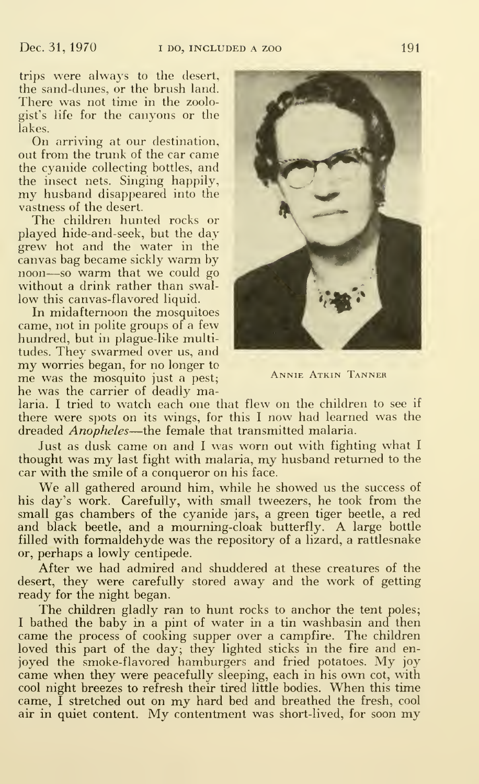trips were always to the desert, the sand-dunes, or the brush land. There was not time in the zoologist's life for the canyons or the lakes.

On arriving at our destination, out from the trunk of the car came the cyanide collecting bottles, and the insect nets. Singing happily, my husband disappeared into the vastness of the desert.

The children hunted rocks or played hide-and-seek, but the day grew hot and the water in the canvas bag became sickly warm by noon—so warm that we could go without a drink rather than swallow this canvas-flavored liquid.

In midafternoon the mosquitoes came, not in polite groups of a few hundred, but in plague-like multitudes. They swarmed over us, and my worries began, for no longer to me was the mosquito just <sup>a</sup> pest; he was the carrier of deadly ma-



Annie Atkin Tanner

laria. <sup>I</sup> tried to watch each one that flew on the children to see if there were spots on its wings, for this <sup>I</sup> now had learned was the dreaded Anopheles—the female that transmitted malaria.

Just as dusk came on and <sup>I</sup> was worn out with fighting what <sup>I</sup> thought was my last fight with malaria, my husband returned to the car with the smile of a conqueror on his face.

We all gathered around him, while he showed us the success of his day's work. Carefully, with small tweezers, he took from the small gas chambers of the cyanide jars, a green tiger beetle, a red and black beetle, and <sup>a</sup> mourning-cloak butterfly. A large bottle filled with formaldehyde was the repository of a lizard, a rattlesnake or, perhaps a lowly centipede.

After we had admired and shuddered at these creatures of the desert, they were carefully stored away and the work of getting ready for the night began.

The children gladly ran to hunt rocks to anchor the tent poles; <sup>I</sup> bathed the baby in a pint of water in a tin washbasin and then came the process of cooking supper over a campfire. The children loved this part of the day; they lighted sticks in the fire and enjoyed the smoke-flavored hamburgers and fried potatoes. My joy came when they were peacefully sleeping, each in his own cot, with cool night breezes to refresh their tired little bodies. When this time came, <sup>I</sup> stretched out on my hard bed and breathed the fresh, cool air in quiet content. My contentment was short-lived, for soon my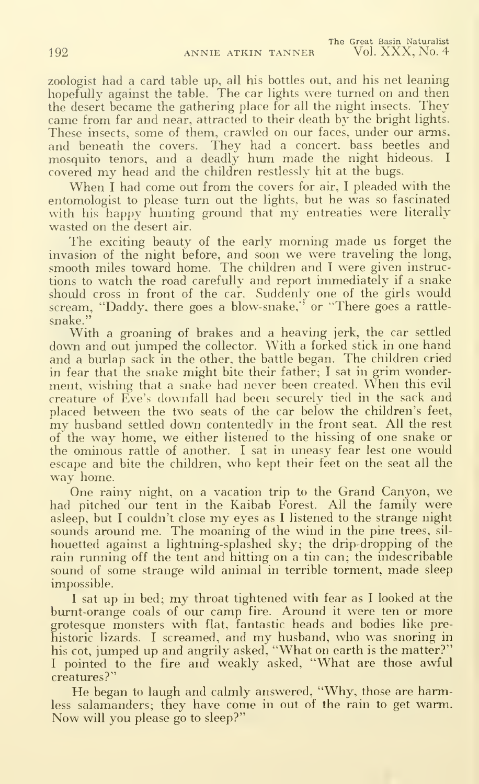zoologist had a card table up, all his bottles out, and his net leaning hopefully against the table. The car lights were turned on and then the desert became the gathering place for all the night insects. They came from far and near, attracted to their death by the bright lights. These insects, some of them, crawled on our faces, under our arms, and beneath the covers. They had <sup>a</sup> concert, bass beetles and mosquito tenors, and <sup>a</sup> deadly hum made the night hideous. <sup>I</sup> covered my head and the children restlessly hit at the bugs.

When <sup>I</sup> had come out from the covers for air, <sup>I</sup> pleaded with the entomologist to please turn out the lights, but he was so fascinated with his happy hunting ground that my entreaties were literally wasted on the desert air.

The exciting beauty of the early morning made us forget the invasion of the night before, and soon we were traveling the long, smooth miles toward home. The children and <sup>I</sup> were given instructions to watch the road carefully and report immediately if a snake should cross in front of the car. Suddenly one of the girls would scream, "Daddy, there goes a blow-snake," or "There goes a rattlesnake."

With a groaning of brakes and a heaving jerk, the car settled down and out jumped the collector. With <sup>a</sup> forked stick in one hand and <sup>a</sup> burlap sack in the other, the battle began. The children cried in fear that the snake might bite their father; I sat in grim wonderment, wishing that <sup>a</sup> snake had never been created. When this evil creature of Eve's downfall had been securely tied in the sack and placed between the two seats of the car below the children's feet, my husband settled down contentedly in the front seat. All the rest of the way home, we either listened to the hissing of one snake or the ominous rattle of another. <sup>I</sup> sat in uneasy fear lest one would escape and bite the children, who kept their feet on the seat all the way home.

One rainy night, on <sup>a</sup> vacation trip to the Grand Canyon, we had pitched our tent in the Kaibab Forest. All the family were asleep, but <sup>I</sup> couldn't close my eyes as <sup>I</sup> listened to the strange night sounds around me. The moaning of the wind in the pine trees, sil houetted against a lightning-splashed sky; the drip-dropping of the rain running off the tent and hitting on a tin can; the indescribable sound of some strange wild animal in terrible torment, made sleep impossible.

<sup>I</sup> sat up in bed; my throat tightened with fear as <sup>I</sup> looked at the burnt-orange coals of our camp fire. Around it were ten or more grotesque monsters with flat, fantastic heads and bodies like prehistoric lizards. <sup>I</sup> screamed, and my husband, who was snoring in his cot, jumped up and angrily asked, "What on earth is the matter?" <sup>I</sup> pointed to the fire and weakly asked, "What are those awful creatures?"

He began to laugh and calmly answered, "Why, those are harmless salamanders; they have come in out of the rain to get warm. Now will you please go to sleep?"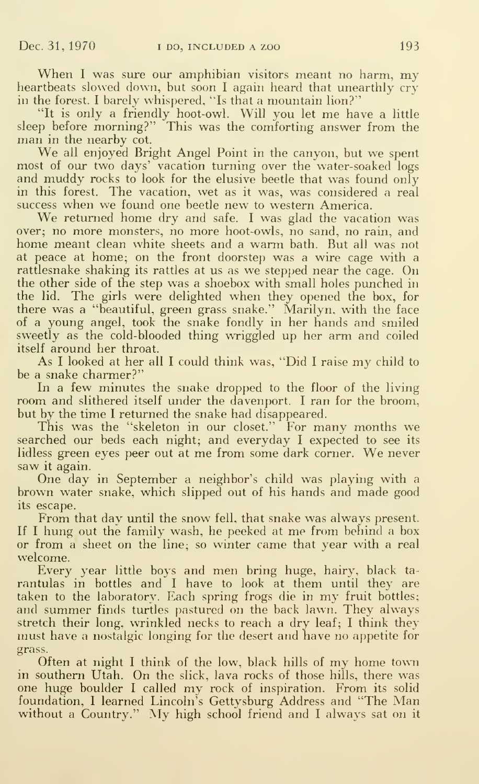When I was sure our amphibian visitors meant no harm, my heartbeats slowed down, but soon I again heard that unearthly cry in the forest. <sup>I</sup> barely whispered, "Is that a mountain lion?"

"It is only <sup>a</sup> friendly hoot-owl. Will you let me have <sup>a</sup> little sleep before morning?" This was the comforting answer from the man in the nearby cot. We all enjoyed Bright Angel Point in the canyon, but we spent

most of our two days' vacation turning over the water-soaked logs and muddy rocks to look for the elusive beetle that was found only in this forest. The vacation, wet as it was, was considered a real success when we found one beetle new to western America.

We returned home dry and safe. <sup>I</sup> was glad the vacation was over; no more monsters, no more hoot-owls, no sand, no rain, and home meant clean white sheets and <sup>a</sup> warm bath. But all was not at peace at home; on the front doorstep was a wire cage with a rattlesnake shaking its rattles at us as we stepped near the cage. On the other side of the step was a shoebox with small holes punched in the lid. The girls were delighted when they opened the box, for there was a "beautiful, green grass snake." Marilyn, with the face of a young angel, took the snake fondly in her hands and smiled sweetly as the cold-blooded thing wriggled up her arm and coiled itself around her throat.

As <sup>I</sup> looked at her all <sup>I</sup> could think was, "Did <sup>I</sup> raise my child to be a snake charmer?"

In a few minutes the snake dropped to the floor of the living room and slithered itself under the davenport. <sup>I</sup> ran for the broom, but by the time I returned the snake had disappeared.

This was the "skeleton in our closet." For many months we searched our beds each night; and everyday <sup>I</sup> expected to see its lidless green eyes peer out at me from some dark corner. We never saw it again.

One day in September <sup>a</sup> neighbor's child was playing with a brown water snake, which slipped out of his hands and made good its escape.

From that day until the snow fell, that snake was always present. If <sup>I</sup> hung out the family wash, he peeked at me from behind <sup>a</sup> box or from a sheet on the line; so winter came that year with a real welcome.

Every year little boys and men bring huge, hairy, black ta rantulas in bottles and <sup>I</sup> have to look at them until they are taken to the laboratory. Each spring frogs die in my fruit bottles; and summer finds turtles pastured on the back lawn. They always stretch their long, wrinkled necks to reach a dry leaf; <sup>I</sup> think they must have a nostalgic longing for the desert and have no appetite for grass.

Often at night <sup>I</sup> think of the low, black hills of my home town in southern Utah. On the slick, lava rocks of those hills, there was one huge boulder <sup>I</sup> called my rock of inspiration. From its solid foundation, <sup>I</sup> learned Lincoln's Gettysburg Address and "The Man without a Country." My high school friend and I always sat on it